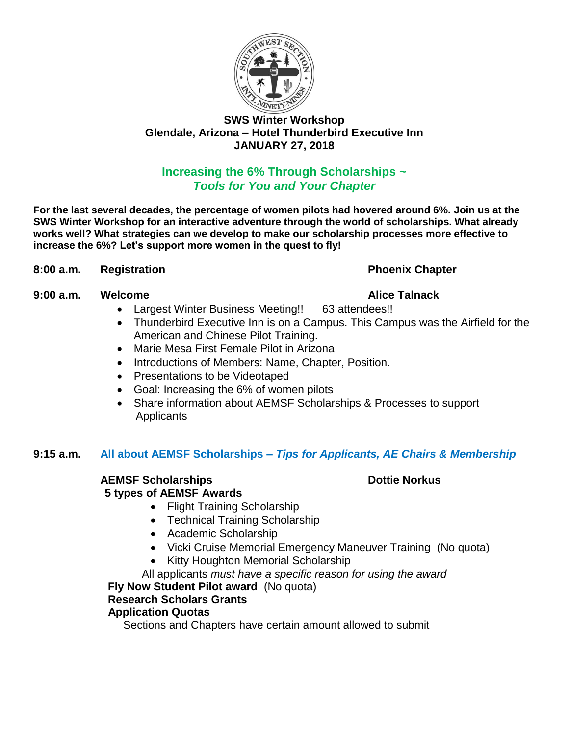

## **Increasing the 6% Through Scholarships ~** *Tools for You and Your Chapter*

**For the last several decades, the percentage of women pilots had hovered around 6%. Join us at the SWS Winter Workshop for an interactive adventure through the world of scholarships. What already works well? What strategies can we develop to make our scholarship processes more effective to increase the 6%? Let's support more women in the quest to fly!**

### **8:00 a.m. Registration Phoenix Chapter**

### **9:00 a.m. Welcome Alice Talnack**

- Largest Winter Business Meeting!! 63 attendees!!
- Thunderbird Executive Inn is on a Campus. This Campus was the Airfield for the American and Chinese Pilot Training.
- Marie Mesa First Female Pilot in Arizona
- Introductions of Members: Name, Chapter, Position.
- Presentations to be Videotaped
- Goal: Increasing the 6% of women pilots
- Share information about AEMSF Scholarships & Processes to support **Applicants**

### **9:15 a.m. All about AEMSF Scholarships –** *Tips for Applicants, AE Chairs & Membership*

### **AEMSF Scholarships Dottie Norkus Dottie Norkus**

### **5 types of AEMSF Awards**

- Flight Training Scholarship
- Technical Training Scholarship
- Academic Scholarship
- Vicki Cruise Memorial Emergency Maneuver Training (No quota)
- Kitty Houghton Memorial Scholarship

### All applicants *must have a specific reason for using the award*

### **Fly Now Student Pilot award** (No quota)

## **Research Scholars Grants**

### **Application Quotas**

Sections and Chapters have certain amount allowed to submit

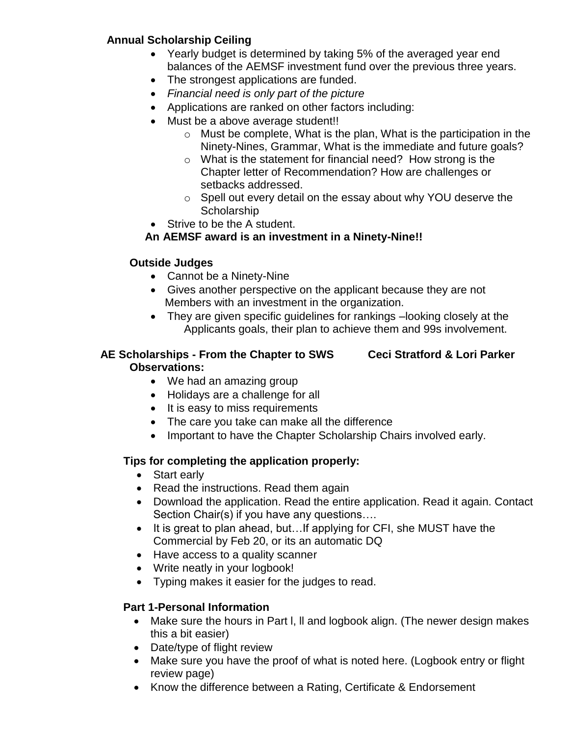## **Annual Scholarship Ceiling**

- Yearly budget is determined by taking 5% of the averaged year end balances of the AEMSF investment fund over the previous three years.
- The strongest applications are funded.
- *Financial need is only part of the picture*
- Applications are ranked on other factors including:
- Must be a above average student!!
	- $\circ$  Must be complete, What is the plan, What is the participation in the Ninety-Nines, Grammar, What is the immediate and future goals?
	- o What is the statement for financial need? How strong is the Chapter letter of Recommendation? How are challenges or setbacks addressed.
	- o Spell out every detail on the essay about why YOU deserve the **Scholarship**
- Strive to be the A student.

# **An AEMSF award is an investment in a Ninety-Nine!!**

## **Outside Judges**

- Cannot be a Ninety-Nine
- Gives another perspective on the applicant because they are not Members with an investment in the organization.
- They are given specific guidelines for rankings –looking closely at the Applicants goals, their plan to achieve them and 99s involvement.

## **AE Scholarships - From the Chapter to SWS Ceci Stratford & Lori Parker Observations:**

- We had an amazing group
- Holidays are a challenge for all
- It is easy to miss requirements
- The care you take can make all the difference
- Important to have the Chapter Scholarship Chairs involved early.

# **Tips for completing the application properly:**

- Start early
- Read the instructions. Read them again
- Download the application. Read the entire application. Read it again. Contact Section Chair(s) if you have any questions….
- It is great to plan ahead, but…If applying for CFI, she MUST have the Commercial by Feb 20, or its an automatic DQ
- Have access to a quality scanner
- Write neatly in your logbook!
- Typing makes it easier for the judges to read.

# **Part 1-Personal Information**

- Make sure the hours in Part I, II and logbook align. (The newer design makes this a bit easier)
- Date/type of flight review
- Make sure you have the proof of what is noted here. (Logbook entry or flight review page)
- Know the difference between a Rating, Certificate & Endorsement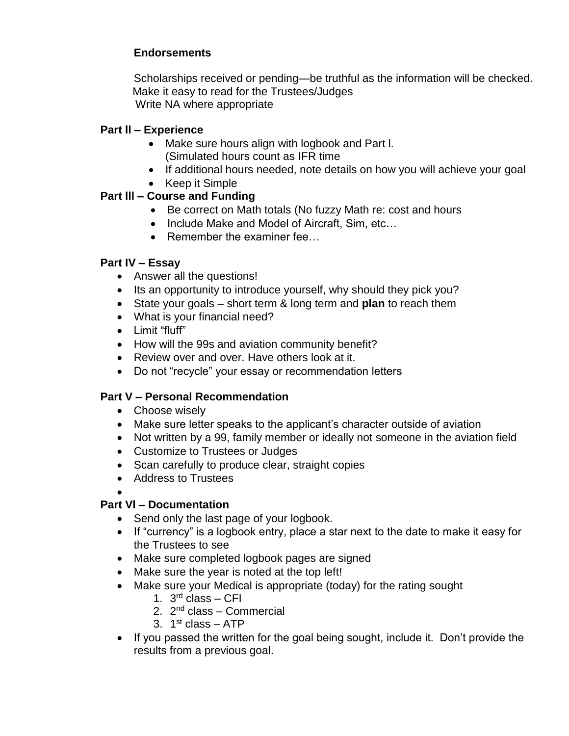## **Endorsements**

Scholarships received or pending—be truthful as the information will be checked. Make it easy to read for the Trustees/Judges Write NA where appropriate

### **Part ll – Experience**

- Make sure hours align with logbook and Part l. (Simulated hours count as IFR time
- If additional hours needed, note details on how you will achieve your goal
- Keep it Simple

## **Part lll – Course and Funding**

- Be correct on Math totals (No fuzzy Math re: cost and hours
- Include Make and Model of Aircraft, Sim, etc…
- Remember the examiner fee...

### **Part IV – Essay**

- Answer all the questions!
- Its an opportunity to introduce yourself, why should they pick you?
- State your goals short term & long term and **plan** to reach them
- What is your financial need?
- Limit "fluff"
- How will the 99s and aviation community benefit?
- Review over and over. Have others look at it.
- Do not "recycle" your essay or recommendation letters

### **Part V – Personal Recommendation**

- Choose wisely
- Make sure letter speaks to the applicant's character outside of aviation
- Not written by a 99, family member or ideally not someone in the aviation field
- Customize to Trustees or Judges
- Scan carefully to produce clear, straight copies
- Address to Trustees
- •

# **Part Vl – Documentation**

- Send only the last page of your logbook.
- If "currency" is a logbook entry, place a star next to the date to make it easy for the Trustees to see
- Make sure completed logbook pages are signed
- Make sure the year is noted at the top left!
- Make sure your Medical is appropriate (today) for the rating sought
	- 1. 3<sup>rd</sup> class CFI
	- 2. 2<sup>nd</sup> class Commercial
	- 3. 1<sup>st</sup> class ATP
- If you passed the written for the goal being sought, include it. Don't provide the results from a previous goal.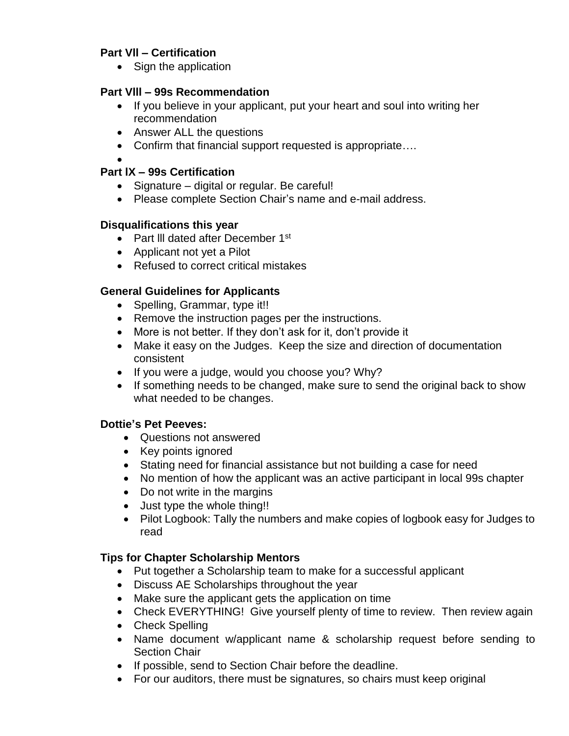### **Part Vll – Certification**

• Sign the application

### **Part Vlll – 99s Recommendation**

- If you believe in your applicant, put your heart and soul into writing her recommendation
- Answer ALL the questions
- Confirm that financial support requested is appropriate....
- •

## **Part lX – 99s Certification**

- Signature digital or regular. Be careful!
- Please complete Section Chair's name and e-mail address.

### **Disqualifications this year**

- Part III dated after December 1<sup>st</sup>
- Applicant not yet a Pilot
- Refused to correct critical mistakes

### **General Guidelines for Applicants**

- Spelling, Grammar, type it!!
- Remove the instruction pages per the instructions.
- More is not better. If they don't ask for it, don't provide it
- Make it easy on the Judges. Keep the size and direction of documentation consistent
- If you were a judge, would you choose you? Why?
- If something needs to be changed, make sure to send the original back to show what needed to be changes.

### **Dottie's Pet Peeves:**

- Questions not answered
- Key points ignored
- Stating need for financial assistance but not building a case for need
- No mention of how the applicant was an active participant in local 99s chapter
- Do not write in the margins
- Just type the whole thing!!
- Pilot Logbook: Tally the numbers and make copies of logbook easy for Judges to read

### **Tips for Chapter Scholarship Mentors**

- Put together a Scholarship team to make for a successful applicant
- Discuss AE Scholarships throughout the year
- Make sure the applicant gets the application on time
- Check EVERYTHING! Give yourself plenty of time to review. Then review again
- Check Spelling
- Name document w/applicant name & scholarship request before sending to Section Chair
- If possible, send to Section Chair before the deadline.
- For our auditors, there must be signatures, so chairs must keep original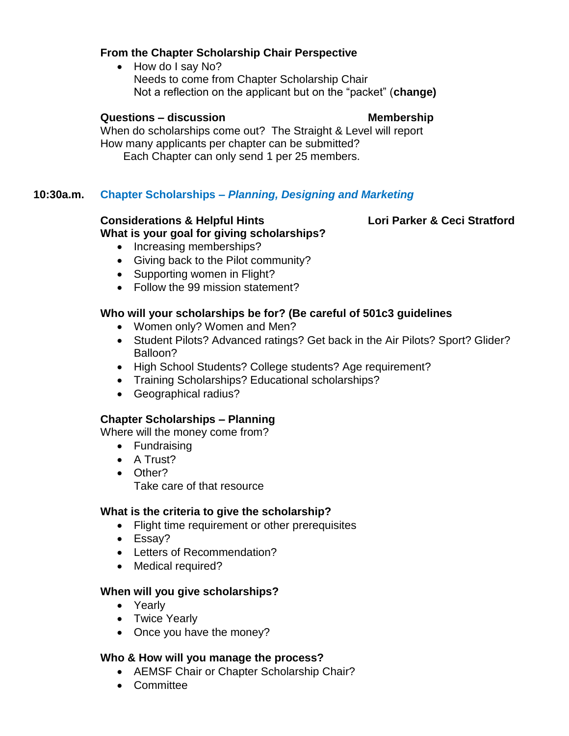### **From the Chapter Scholarship Chair Perspective**

• How do I say No? Needs to come from Chapter Scholarship Chair Not a reflection on the applicant but on the "packet" (**change)**

### **Questions – discussion Membership**

When do scholarships come out? The Straight & Level will report How many applicants per chapter can be submitted? Each Chapter can only send 1 per 25 members.

### **10:30a.m. Chapter Scholarships –** *Planning, Designing and Marketing*

### **Considerations & Helpful Hints Lori Parker & Ceci Stratford What is your goal for giving scholarships?**

- Increasing memberships?
- Giving back to the Pilot community?
- Supporting women in Flight?
- Follow the 99 mission statement?

### **Who will your scholarships be for? (Be careful of 501c3 guidelines**

- Women only? Women and Men?
- Student Pilots? Advanced ratings? Get back in the Air Pilots? Sport? Glider? Balloon?
- High School Students? College students? Age requirement?
- Training Scholarships? Educational scholarships?
- Geographical radius?

### **Chapter Scholarships – Planning**

Where will the money come from?

- Fundraising
- A Trust?
- Other?

Take care of that resource

### **What is the criteria to give the scholarship?**

- Flight time requirement or other prerequisites
- Essay?
- Letters of Recommendation?
- Medical required?

### **When will you give scholarships?**

- Yearly
- Twice Yearly
- Once you have the money?

### **Who & How will you manage the process?**

- AEMSF Chair or Chapter Scholarship Chair?
- Committee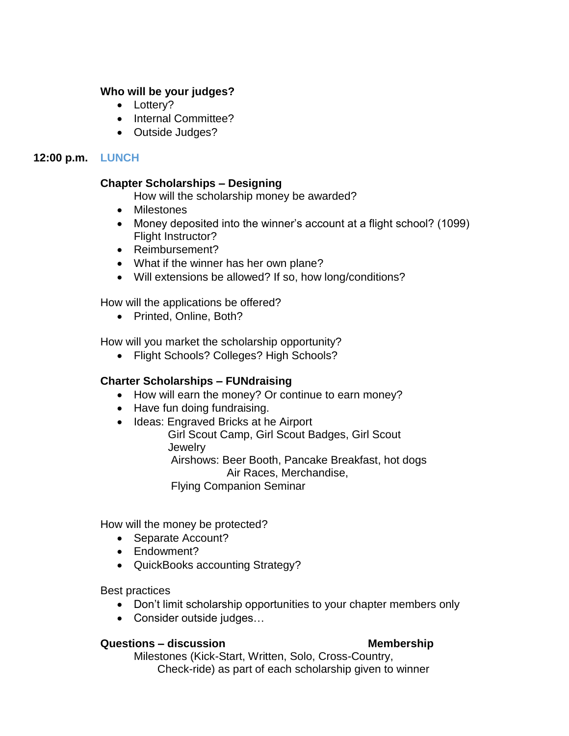### **Who will be your judges?**

- Lottery?
- Internal Committee?
- Outside Judges?

### **12:00 p.m. LUNCH**

### **Chapter Scholarships – Designing**

- How will the scholarship money be awarded?
- Milestones
- Money deposited into the winner's account at a flight school? (1099) Flight Instructor?
- Reimbursement?
- What if the winner has her own plane?
- Will extensions be allowed? If so, how long/conditions?

How will the applications be offered?

• Printed, Online, Both?

How will you market the scholarship opportunity?

• Flight Schools? Colleges? High Schools?

### **Charter Scholarships – FUNdraising**

- How will earn the money? Or continue to earn money?
- Have fun doing fundraising.
- Ideas: Engraved Bricks at he Airport

 Girl Scout Camp, Girl Scout Badges, Girl Scout **Jewelry** 

 Airshows: Beer Booth, Pancake Breakfast, hot dogs Air Races, Merchandise,

Flying Companion Seminar

How will the money be protected?

- Separate Account?
- Endowment?
- QuickBooks accounting Strategy?

Best practices

- Don't limit scholarship opportunities to your chapter members only
- Consider outside judges…

### **Questions – discussion Membership**

Milestones (Kick-Start, Written, Solo, Cross-Country, Check-ride) as part of each scholarship given to winner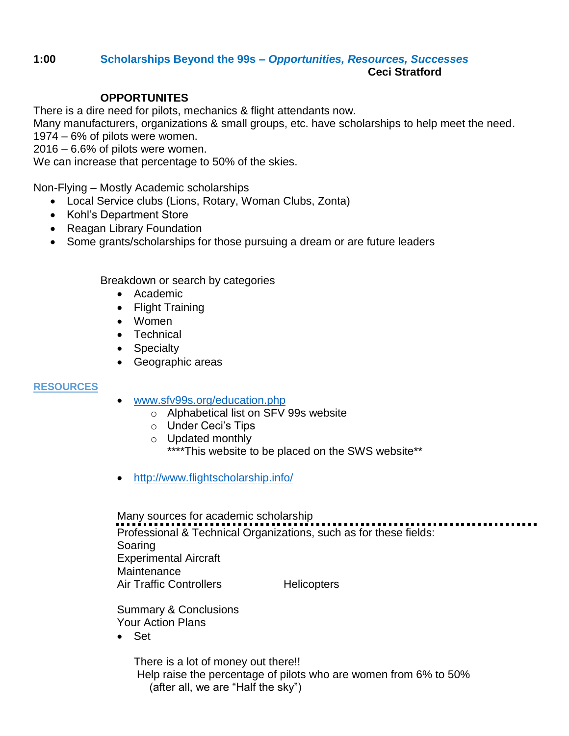### **1:00 Scholarships Beyond the 99s** *– Opportunities, Resources, Successes* **Ceci Stratford**

### **OPPORTUNITES**

There is a dire need for pilots, mechanics & flight attendants now.

Many manufacturers, organizations & small groups, etc. have scholarships to help meet the need. 1974 – 6% of pilots were women.

2016 – 6.6% of pilots were women.

We can increase that percentage to 50% of the skies.

Non-Flying – Mostly Academic scholarships

- Local Service clubs (Lions, Rotary, Woman Clubs, Zonta)
- Kohl's Department Store
- Reagan Library Foundation
- Some grants/scholarships for those pursuing a dream or are future leaders

Breakdown or search by categories

- Academic
- Flight Training
- Women
- Technical
- Specialty
- Geographic areas

### **RESOURCES**

- [www.sfv99s.org/education.php](http://www.sfv99s.org/education.php)
	- o Alphabetical list on SFV 99s website
	- o Under Ceci's Tips
	- o Updated monthly \*\*\*\*This website to be placed on the SWS website\*\*
- <http://www.flightscholarship.info/>

Many sources for academic scholarship Professional & Technical Organizations, such as for these fields: Soaring Experimental Aircraft **Maintenance** Air Traffic Controllers Helicopters

Summary & Conclusions Your Action Plans

• Set

There is a lot of money out there!! Help raise the percentage of pilots who are women from 6% to 50% (after all, we are "Half the sky")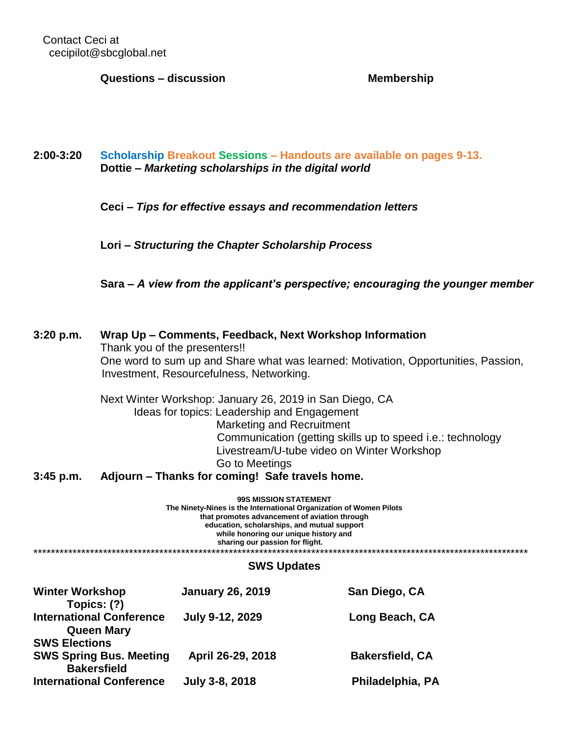Contact Ceci at cecipilot@sbcglobal.net

**Questions – discussion Membership**

### **2:00-3:20 Scholarship Breakout Sessions – Handouts are available on pages 9-13. Dottie –** *Marketing scholarships in the digital world*

**Ceci –** *Tips for effective essays and recommendation letters*

**Lori –** *Structuring the Chapter Scholarship Process*

**Sara –** *A view from the applicant's perspective; encouraging the younger member*

| 3:20 p.m.                                                                                                                                                                                                                                                                      | Wrap Up – Comments, Feedback, Next Workshop Information<br>Thank you of the presenters!!<br>One word to sum up and Share what was learned: Motivation, Opportunities, Passion,<br>Investment, Resourcefulness, Networking. |                                                                                                                                                                                                                 |                                                                                                          |  |
|--------------------------------------------------------------------------------------------------------------------------------------------------------------------------------------------------------------------------------------------------------------------------------|----------------------------------------------------------------------------------------------------------------------------------------------------------------------------------------------------------------------------|-----------------------------------------------------------------------------------------------------------------------------------------------------------------------------------------------------------------|----------------------------------------------------------------------------------------------------------|--|
| $3:45$ p.m.                                                                                                                                                                                                                                                                    |                                                                                                                                                                                                                            | Next Winter Workshop: January 26, 2019 in San Diego, CA<br>Ideas for topics: Leadership and Engagement<br><b>Marketing and Recruitment</b><br>Go to Meetings<br>Adjourn – Thanks for coming! Safe travels home. | Communication (getting skills up to speed i.e.: technology<br>Livestream/U-tube video on Winter Workshop |  |
| <b>99S MISSION STATEMENT</b><br>The Ninety-Nines is the International Organization of Women Pilots<br>that promotes advancement of aviation through<br>education, scholarships, and mutual support<br>while honoring our unique history and<br>sharing our passion for flight. |                                                                                                                                                                                                                            |                                                                                                                                                                                                                 |                                                                                                          |  |
|                                                                                                                                                                                                                                                                                |                                                                                                                                                                                                                            | <b>SWS Updates</b>                                                                                                                                                                                              |                                                                                                          |  |
| <b>Winter Workshop</b><br>Topics: (?)                                                                                                                                                                                                                                          |                                                                                                                                                                                                                            | <b>January 26, 2019</b>                                                                                                                                                                                         | San Diego, CA                                                                                            |  |

| <b>VIIIIGI VIUINJIIUU</b><br>Topics: (?)             | Jaliual V ZV. ZVIJ | <b>JAIL PICHO, UM</b>  |
|------------------------------------------------------|--------------------|------------------------|
| <b>International Conference</b><br><b>Queen Mary</b> | July 9-12, 2029    | Long Beach, CA         |
| <b>SWS Elections</b>                                 |                    |                        |
| <b>SWS Spring Bus. Meeting</b><br><b>Bakersfield</b> | April 26-29, 2018  | <b>Bakersfield, CA</b> |
| <b>International Conference</b>                      | July 3-8, 2018     | Philadelphia, PA       |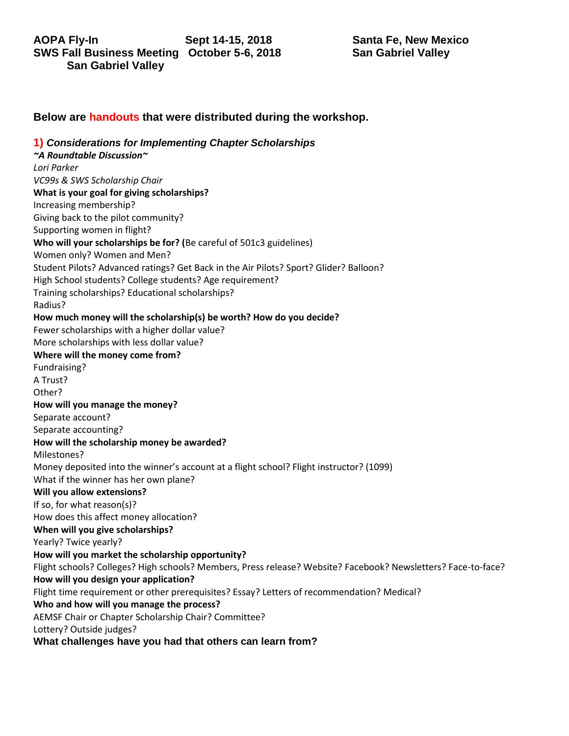### **Below are handouts that were distributed during the workshop.**

**1)** *Considerations for Implementing Chapter Scholarships ~A Roundtable Discussion~ Lori Parker VC99s & SWS Scholarship Chair*  **What is your goal for giving scholarships?**  Increasing membership? Giving back to the pilot community? Supporting women in flight? **Who will your scholarships be for? (**Be careful of 501c3 guidelines) Women only? Women and Men? Student Pilots? Advanced ratings? Get Back in the Air Pilots? Sport? Glider? Balloon? High School students? College students? Age requirement? Training scholarships? Educational scholarships? Radius? **How much money will the scholarship(s) be worth? How do you decide?**  Fewer scholarships with a higher dollar value? More scholarships with less dollar value? **Where will the money come from?**  Fundraising? A Trust? Other? **How will you manage the money?**  Separate account? Separate accounting? **How will the scholarship money be awarded?**  Milestones? Money deposited into the winner's account at a flight school? Flight instructor? (1099) What if the winner has her own plane? **Will you allow extensions?**  If so, for what reason(s)? How does this affect money allocation? **When will you give scholarships?**  Yearly? Twice yearly? **How will you market the scholarship opportunity?** Flight schools? Colleges? High schools? Members, Press release? Website? Facebook? Newsletters? Face-to-face? **How will you design your application?**  Flight time requirement or other prerequisites? Essay? Letters of recommendation? Medical? **Who and how will you manage the process?**  AEMSF Chair or Chapter Scholarship Chair? Committee? Lottery? Outside judges? **What challenges have you had that others can learn from?**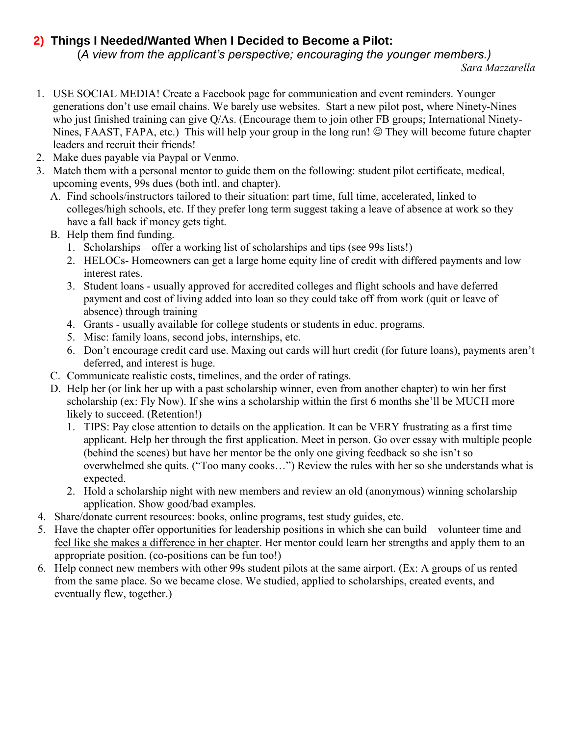# **2) Things I Needed/Wanted When I Decided to Become a Pilot:**

(*A view from the applicant's perspective; encouraging the younger members.)*

- *1. USE SOCIAL MEDIA! Create a Facebook page for communication and event reminders. Younger generations don't use email chains. We barely use websites. Start a new pilot post, where Ninety-Nines who just finished training can give Q/As. (Encourage them to join other FB groups; International Ninety-Nines, FAAST, FAPA, etc.)* This will help your group in the long run! ☺ They will become future chapter *leaders and recruit their friends!*
- *2. Make dues payable via Paypal or Venmo.*
- *3. Match them with a personal mentor to guide them on the following: student pilot certificate, medical, upcoming events, 99s dues (both intl. and chapter).* 
	- *A. Find schools/instructors tailored to their situation: part time, full time, accelerated, linked to colleges/high schools, etc. If they prefer long term suggest taking a leave of absence at work so they have a fall back if money gets tight.*
	- *B. Help them find funding.*
		- *1. Scholarships – offer a working list of scholarships and tips (see 99s lists!)*
		- *2. HELOCs- Homeowners can get a large home equity line of credit with differed payments and low interest rates.*
		- *3. Student loans - usually approved for accredited colleges and flight schools and have deferred*  payment and cost of living added into loan so they could take off from work (quit or leave of *absence) through training*
		- *4. Grants - usually available for college students or students in educ. programs.*
		- *5. Misc: family loans, second jobs, internships, etc.*
		- *6. Don't encourage credit card use. Maxing out cards will hurt credit (for future loans), payments aren't deferred, and interest is huge.*
	- *C. Communicate realistic costs, timelines, and the order of ratings.*
	- *D. Help her (or link her up with a past scholarship winner, even from another chapter) to win her first scholarship (ex: Fly Now). If she wins a scholarship within the first 6 months she'll be MUCH more likely to succeed. (Retention!)*
		- *1. TIPS: Pay close attention to details on the application. It can be VERY frustrating as a first time applicant. Help her through the first application. Meet in person. Go over essay with multiple people (behind the scenes) but have her mentor be the only one giving feedback so she isn't so overwhelmed she quits. ("Too many cooks...") Review the rules with her so she understands what is expected.*
		- *2. Hold a scholarship night with new members and review an old (anonymous) winning scholarship application. Show good/bad examples.*
- *4. Share/donate current resources: books, online programs, test study guides, etc.*
- *5. Have the chapter offer opportunities for leadership positions in which she can build volunteer time and feel like she makes a difference in her chapter. Her mentor could learn her strengths and apply them to an appropriate position. (co-positions can be fun too!)*
- *6. Help connect new members with other 99s student pilots at the same airport. (Ex: A groups of us rented from the same place. So we became close. We studied, applied to scholarships, created events, and eventually flew, together.)*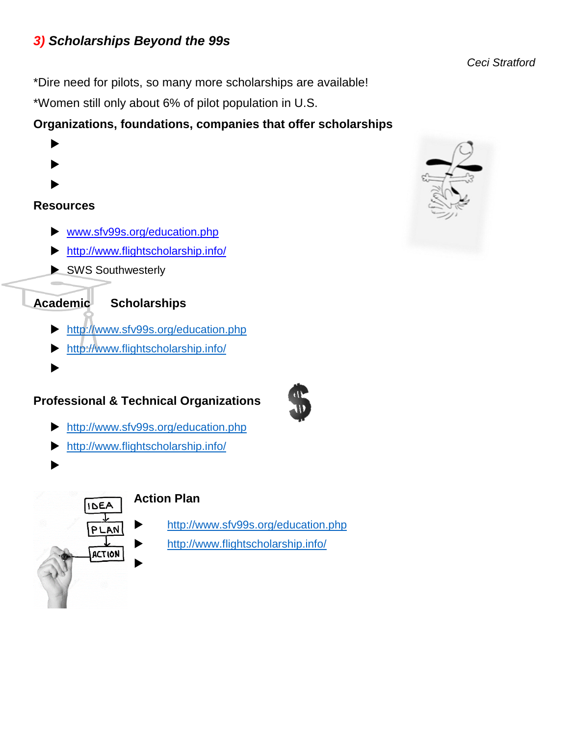# *3) Scholarships Beyond the 99s*

*Ceci Stratford*

\*Dire need for pilots, so many more scholarships are available!

\*Women still only about 6% of pilot population in U.S.

# **Organizations, foundations, companies that offer scholarships**

- ▶
- $\blacktriangleright$
- $\blacktriangleright$

# **Resources**

- [www.sfv99s.org/education.php](http://www.sfv99s.org/education.php)
- <http://www.flightscholarship.info/>
- SWS Southwesterly

# **Academic Scholarships**

- <http://www.sfv99s.org/education.php>
- <http://www.flightscholarship.info/>
- $\blacktriangleright$

# **Professional & Technical Organizations**

- 
- <http://www.sfv99s.org/education.php>
- <http://www.flightscholarship.info/>
- $\blacktriangleright$



# **Action Plan**

<http://www.sfv99s.org/education.php>

<http://www.flightscholarship.info/>

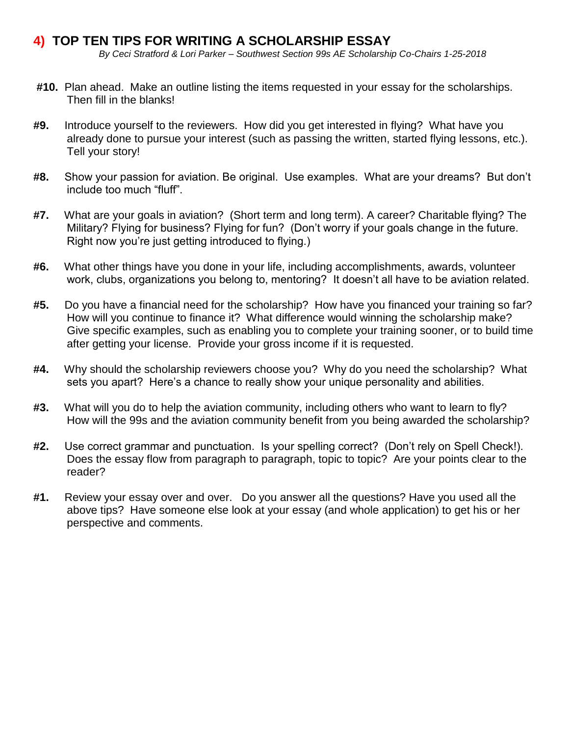# **4) TOP TEN TIPS FOR WRITING A SCHOLARSHIP ESSAY**

*By Ceci Stratford & Lori Parker – Southwest Section 99s AE Scholarship Co-Chairs 1-25-2018*

- **#10.** Plan ahead. Make an outline listing the items requested in your essay for the scholarships. Then fill in the blanks!
- **#9.** Introduce yourself to the reviewers. How did you get interested in flying? What have you already done to pursue your interest (such as passing the written, started flying lessons, etc.). Tell your story!
- **#8.** Show your passion for aviation. Be original. Use examples. What are your dreams? But don't include too much "fluff".
- **#7.** What are your goals in aviation? (Short term and long term). A career? Charitable flying? The Military? Flying for business? Flying for fun? (Don't worry if your goals change in the future. Right now you're just getting introduced to flying.)
- **#6.** What other things have you done in your life, including accomplishments, awards, volunteer work, clubs, organizations you belong to, mentoring? It doesn't all have to be aviation related.
- **#5.** Do you have a financial need for the scholarship? How have you financed your training so far? How will you continue to finance it? What difference would winning the scholarship make? Give specific examples, such as enabling you to complete your training sooner, or to build time after getting your license. Provide your gross income if it is requested.
- **#4.** Why should the scholarship reviewers choose you? Why do you need the scholarship? What sets you apart? Here's a chance to really show your unique personality and abilities.
- **#3.** What will you do to help the aviation community, including others who want to learn to fly? How will the 99s and the aviation community benefit from you being awarded the scholarship?
- **#2.** Use correct grammar and punctuation. Is your spelling correct? (Don't rely on Spell Check!). Does the essay flow from paragraph to paragraph, topic to topic? Are your points clear to the reader?
- **#1.** Review your essay over and over. Do you answer all the questions? Have you used all the above tips? Have someone else look at your essay (and whole application) to get his or her perspective and comments.